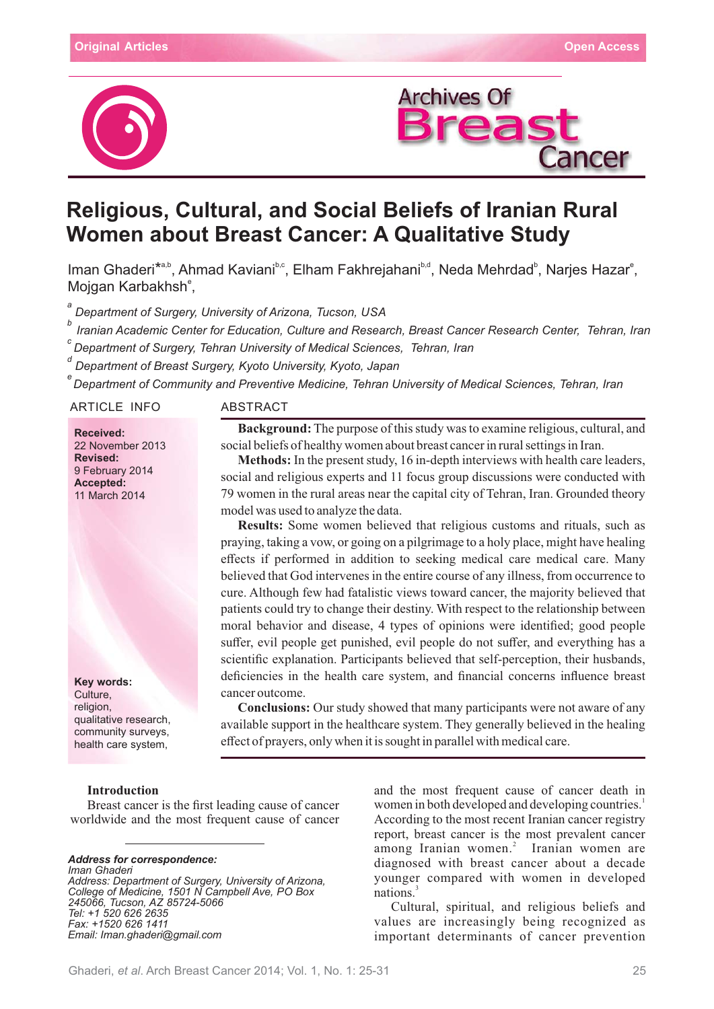



# **Religious, Cultural, and Social Beliefs of Iranian Rural Women about Breast Cancer: A Qualitative Study**

Iman Ghaderi<sup>\*a,b</sup>, Ahmad Kaviani<sup>b,c</sup>, Elham Fakhrejahani<sup>b,d</sup>, Neda Mehrdad<sup>b</sup>, Narjes Hazar<sup>e</sup>, Mojgan Karbakhsh<sup>e</sup>,

*a Department of Surgery, University of Arizona, Tucson, USA*

*Iranian Academic Center for Education, Culture and Research, Breast Cancer Research Center, Tehran, Iran <sup>b</sup> Department of Surgery, Tehran University of Medical Sciences, Tehran, Iran <sup>c</sup>*

*Department of Breast Surgery, Kyoto University, Kyoto, Japan <sup>d</sup>*

*Department of Community and Preventive Medicine, Tehran University of Medical Sciences, Tehran, Iran* 

ARTICLE INFO ABSTRACT

**Received:** 22 November 2013 **Revised:** 9 February 2014 **Accepted:** 11 March 2014

**Key words:** Culture, religion. qualitative research, community surveys, health care system,

## **Introduction**

Breast cancer is the first leading cause of cancer worldwide and the most frequent cause of cancer

## *Address for correspondence: Iman Ghaderi Address: Department of Surgery, University of Arizona,*

*College of Medicine, 1501 N Campbell Ave, Box PO 245066, Tucson, 85724-5066 AZ Tel: +1 520 626 2635 Fax: +1520 626 1411 Email: Iman.ghaderi@gmail.com*

**Background:** The purpose of this study was to examine religious, cultural, and social beliefs of healthy women about breast cancer in rural settings in Iran.

**Methods:** In the present study, 16 in-depth interviews with health care leaders, social and religious experts and 11 focus group discussions were conducted with 79 women in the rural areas near the capital city of Tehran, Iran. Grounded theory model was used to analyze the data.

**Results:** Some women believed that religious customs and rituals, such as praying, taking a vow, or going on a pilgrimage to a holy place, might have healing effects if performed in addition to seeking medical care medical care. Many believed that God intervenes in the entire course of any illness, from occurrence to cure. Although few had fatalistic views toward cancer, the majority believed that patients could try to change their destiny. With respect to the relationship between moral behavior and disease, 4 types of opinions were identified; good people suffer, evil people get punished, evil people do not suffer, and everything has a scientific explanation. Participants believed that self-perception, their husbands, deficiencies in the health care system, and financial concerns influence breast cancer outcome.

**Conclusions:** Our study showed that many participants were not aware of any available support in the healthcare system. They generally believed in the healing effect of prayers, only when it is sought in parallel with medical care.

> and the most frequent cause of cancer death in women in both developed and developing countries.<sup>1</sup> According to the most recent Iranian cancer registry report, breast cancer is the most prevalent cancer among Iranian women.<sup>2</sup> Iranian women are diagnosed with breast cancer about a decade younger compared with women in developed nations.

> Cultural, spiritual, and religious beliefs and values are increasingly being recognized as important determinants of cancer prevention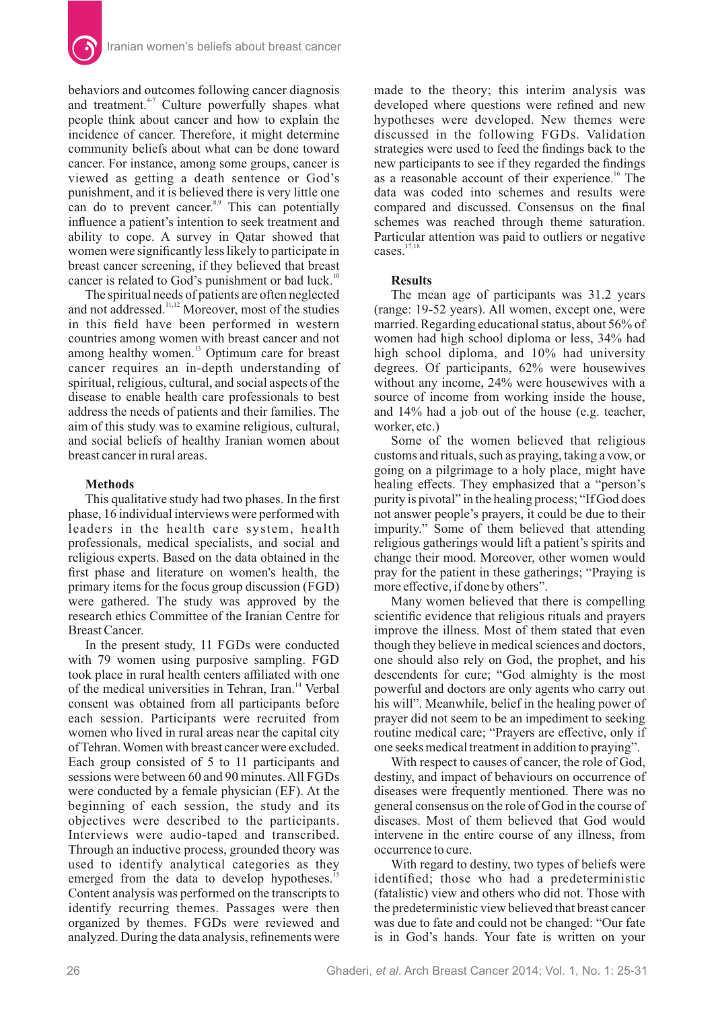

behaviors and outcomes following cancer diagnosis and treatment. $47$  Culture powerfully shapes what people think about cancer and how to explain the incidence of cancer. Therefore, it might determine community beliefs about what can be done toward cancer. For instance, among some groups, cancer is viewed as getting a death sentence or God's punishment, and it is believed there is very little one can do to prevent cancer. $s$ <sup>8,9</sup> This can potentially influence a patient's intention to seek treatment and ability to cope. A survey in Qatar showed that women were significantly less likely to participate in breast cancer screening, if they believed that breast cancer is related to God's punishment or bad luck.<sup>1</sup>

The spiritual needs of patients are often neglected and not addressed.<sup>11,12</sup> Moreover, most of the studies in this field have been performed in western countries among women with breast cancer and not among healthy women.<sup>13</sup> Optimum care for breast cancer requires an in-depth understanding of spiritual, religious, cultural, and social aspects of the disease to enable health care professionals to best address the needs of patients and their families. The aim of this study was to examine religious, cultural, and social beliefs of healthy Iranian women about breast cancer in rural areas.

## **Methods**

This qualitative study had two phases. In the first phase, 16 individual interviews were performed with leaders in the health care system, health professionals, medical specialists, and social and religious experts. Based on the data obtained in the first phase and literature on women's health, the primary items for the focus group discussion  $(FGD)$ were gathered. The study was approved by the research ethics Committee of the Iranian Centre for Breast Cancer.

In the present study, 11 FGDs were conducted with 79 women using purposive sampling. FGD took place in rural health centers affiliated with one of the medical universities in Tehran, Iran.<sup>14</sup> Verbal consent was obtained from all participants before each session. Participants were recruited from women who lived in rural areas near the capital city of Tehran. Women with breast cancer were excluded. Each group consisted of 5 to 11 participants and sessions were between 60 and 90 minutes. All FGDs were conducted by a female physician (EF). At the beginning of each session, the study and its objectives were described to the participants. Interviews were audio-taped and transcribed. Through an inductive process, grounded theory was used to identify analytical categories as they emerged from the data to develop hypotheses. Content analysis was performed on the transcripts to identify recurring themes. Passages were then organized by themes. FGDs were reviewed and analyzed. During the data analysis, refinements were

made to the theory; this interim analysis was developed where questions were refined and new hypotheses were developed. New themes were discussed in the following FGDs. Validation strategies were used to feed the findings back to the new participants to see if they regarded the findings as a reasonable account of their experience.<sup>16</sup> The data was coded into schemes and results were compared and discussed. Consensus on the final schemes was reached through theme saturation. Particular attention was paid to outliers or negative cases. $17,18$ 

### **Results**

The mean age of participants was 31.2 years (range: 19-52 years). All women, except one, were married. Regarding educational status, about 56% of women had high school diploma or less, 34% had high school diploma, and 10% had university degrees. Of participants, 62% were housewives without any income, 24% were housewives with a source of income from working inside the house, and 14% had a job out of the house (e.g. teacher, worker, etc.)

Some of the women believed that religious customs and rituals, such as praying, taking a vow, or going on a pilgrimage to a holy place, might have healing effects. They emphasized that a "person's purity is pivotal" in the healing process; "If God does not answer people's prayers, it could be due to their impurity." Some of them believed that attending religious gatherings would lift a patient's spirits and change their mood. Moreover, other women would pray for the patient in these gatherings; "Praying is more effective, if done by others".

Many women believed that there is compelling scientific evidence that religious rituals and prayers improve the illness. Most of them stated that even though they believe in medical sciences and doctors, one should also rely on God, the prophet, and his descendents for cure; "God almighty is the most powerful and doctors are only agents who carry out his will". Meanwhile, belief in the healing power of prayer did not seem to be an impediment to seeking routine medical care; "Prayers are effective, only if one seeks medical treatment in addition to praying".

With respect to causes of cancer, the role of God, destiny, and impact of behaviours on occurrence of diseases were frequently mentioned. There was no general consensus on the role of God in the course of diseases. Most of them believed that God would intervene in the entire course of any illness, from occurrence to cure.

With regard to destiny, two types of beliefs were identified; those who had a predeterministic (fatalistic) view and others who did not. Those with the predeterministic view believed that breast cancer was due to fate and could not be changed: "Our fate is in God's hands. Your fate is written on your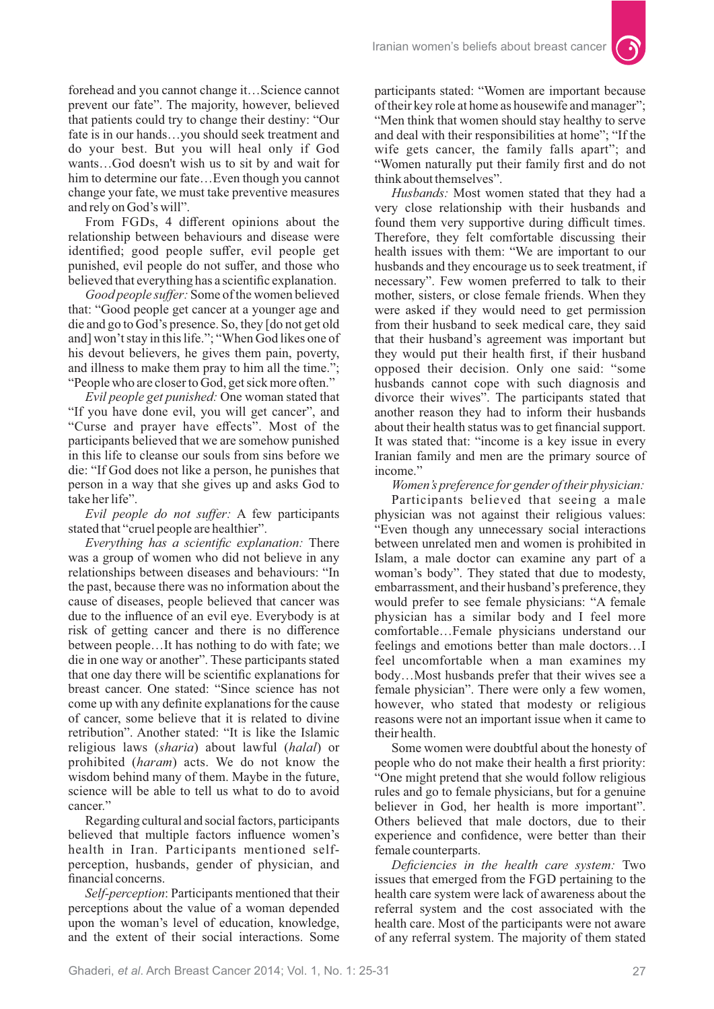forehead and you cannot change it…Science cannot prevent our fate". The majority, however, believed that patients could try to change their destiny: "Our fate is in our hands…you should seek treatment and do your best. But you will heal only if God wants…God doesn't wish us to sit by and wait for him to determine our fate…Even though you cannot change your fate, we must take preventive measures and rely on God's will".

From FGDs, 4 different opinions about the relationship between behaviours and disease were identified; good people suffer, evil people get punished, evil people do not suffer, and those who believed that everything has a scientific explanation.

*Good people suffer:* Some of the women believed that: "Good people get cancer at a younger age and die and go to God's presence. So, they [do not get old and] won't stay in this life."; "When God likes one of his devout believers, he gives them pain, poverty, and illness to make them pray to him all the time."; "People who are closer to God, get sick more often."

*Evil people get punished:* One woman stated that "If you have done evil, you will get cancer", and "Curse and prayer have effects". Most of the participants believed that we are somehow punished in this life to cleanse our souls from sins before we die: "If God does not like a person, he punishes that person in a way that she gives up and asks God to take her life".

*Evil people do not suffer:* A few participants stated that "cruel people are healthier".

*Everything has a scientific explanation:* There was a group of women who did not believe in any relationships between diseases and behaviours: "In the past, because there was no information about the cause of diseases, people believed that cancer was due to the influence of an evil eye. Everybody is at risk of getting cancer and there is no difference between people…It has nothing to do with fate; we die in one way or another". These participants stated that one day there will be scientific explanations for breast cancer. One stated: "Since science has not come up with any definite explanations for the cause of cancer, some believe that it is related to divine retribution". Another stated: "It is like the Islamic religious laws (sharia) about lawful (halal) or prohibited (haram) acts. We do not know the wisdom behind many of them. Maybe in the future, science will be able to tell us what to do to avoid cancer."

Regarding cultural and social factors, participants believed that multiple factors influence women's health in Iran. Participants mentioned selfperception, husbands, gender of physician, and financial concerns.

*Self-perception*: Participants mentioned that their perceptions about the value of a woman depended upon the woman's level of education, knowledge, and the extent of their social interactions. Some

participants stated: "Women are important because of their key role at home as housewife and manager"; "Men think that women should stay healthy to serve and deal with their responsibilities at home"; "If the wife gets cancer, the family falls apart"; and "Women naturally put their family first and do not think about themselves".

*Husbands:* Most women stated that they had a very close relationship with their husbands and found them very supportive during difficult times. Therefore, they felt comfortable discussing their health issues with them: "We are important to our husbands and they encourage us to seek treatment, if necessary". Few women preferred to talk to their mother, sisters, or close female friends. When they were asked if they would need to get permission from their husband to seek medical care, they said that their husband's agreement was important but they would put their health first, if their husband opposed their decision. Only one said: "some husbands cannot cope with such diagnosis and divorce their wives". The participants stated that another reason they had to inform their husbands about their health status was to get financial support. It was stated that: "income is a key issue in every Iranian family and men are the primary source of income."

*Women's preference for gender of their physician:* Participants believed that seeing a male physician was not against their religious values: "Even though any unnecessary social interactions between unrelated men and women is prohibited in Islam, a male doctor can examine any part of a woman's body". They stated that due to modesty, embarrassment, and their husband's preference, they would prefer to see female physicians: "A female physician has a similar body and I feel more comfortable…Female physicians understand our feelings and emotions better than male doctors…I feel uncomfortable when a man examines my body…Most husbands prefer that their wives see a female physician". There were only a few women, however, who stated that modesty or religious reasons were not an important issue when it came to their health.

Some women were doubtful about the honesty of people who do not make their health a first priority: "One might pretend that she would follow religious rules and go to female physicians, but for a genuine believer in God, her health is more important". Others believed that male doctors, due to their experience and confidence, were better than their female counterparts.

*Deficiencies in the health care system:* Two issues that emerged from the FGD pertaining to the health care system were lack of awareness about the referral system and the cost associated with the health care. Most of the participants were not aware of any referral system. The majority of them stated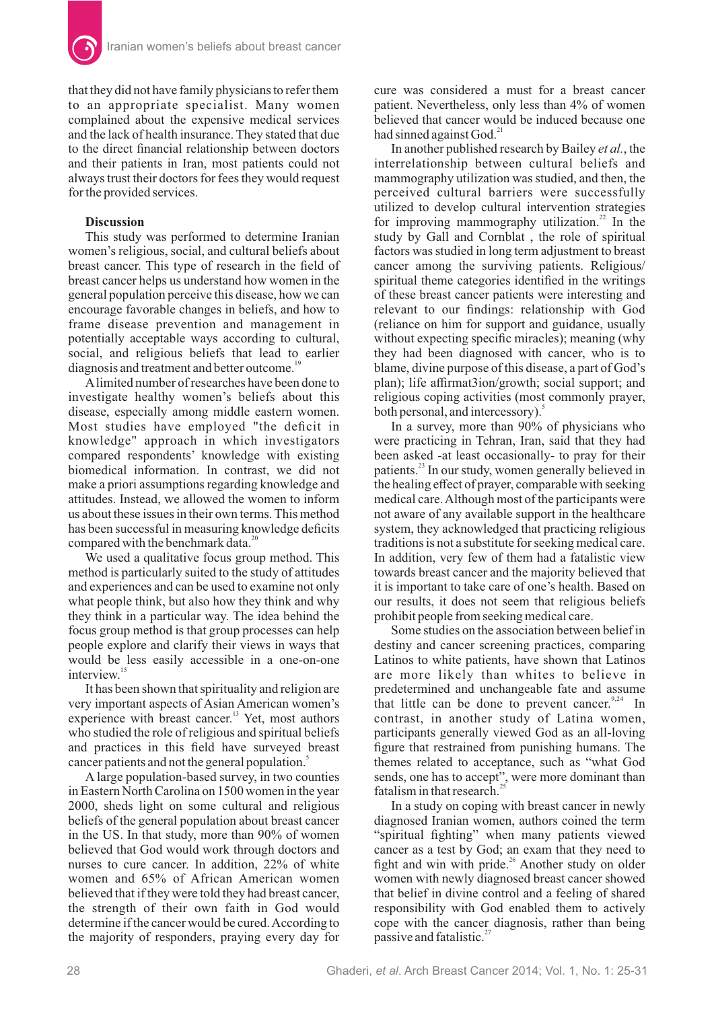that they did not have family physicians to refer them to an appropriate specialist. Many women complained about the expensive medical services and the lack of health insurance. They stated that due to the direct financial relationship between doctors and their patients in Iran, most patients could not always trust their doctors for fees they would request for the provided services.

## **Discussion**

This study was performed to determine Iranian women's religious, social, and cultural beliefs about breast cancer. This type of research in the field of breast cancer helps us understand how women in the general population perceive this disease, how we can encourage favorable changes in beliefs, and how to frame disease prevention and management in potentially acceptable ways according to cultural, social, and religious beliefs that lead to earlier diagnosis and treatment and better outcome.<sup>19</sup>

Alimited number of researches have been done to investigate healthy women's beliefs about this disease, especially among middle eastern women. Most studies have employed "the deficit in knowledge" approach in which investigators compared respondents' knowledge with existing biomedical information. In contrast, we did not make a priori assumptions regarding knowledge and attitudes. Instead, we allowed the women to inform us about these issues in their own terms. This method has been successful in measuring knowledge deficits compared with the benchmark data.<sup>20</sup>

We used a qualitative focus group method. This method is particularly suited to the study of attitudes and experiences and can be used to examine not only what people think, but also how they think and why they think in a particular way. The idea behind the focus group method is that group processes can help people explore and clarify their views in ways that would be less easily accessible in a one-on-one interview $1$ 

It has been shown that spirituality and religion are very important aspects of Asian American women's experience with breast cancer.<sup>13</sup> Yet, most authors who studied the role of religious and spiritual beliefs and practices in this field have surveyed breast cancer patients and not the general population.<sup>5</sup>

A large population-based survey, in two counties in Eastern North Carolina on 1500 women in the year 2000, sheds light on some cultural and religious beliefs of the general population about breast cancer in the US. In that study, more than 90% of women believed that God would work through doctors and nurses to cure cancer. In addition, 22% of white women and 65% of African American women believed that if they were told they had breast cancer, the strength of their own faith in God would determine if the cancer would be cured.According to the majority of responders, praying every day for

cure was considered a must for a breast cancer patient. Nevertheless, only less than 4% of women believed that cancer would be induced because one had sinned against God.<sup>21</sup>

In another published research by Bailey et al., the interrelationship between cultural beliefs and mammography utilization was studied, and then, the perceived cultural barriers were successfully utilized to develop cultural intervention strategies for improving mammography utilization. $22$  In the study by Gall and Cornblat , the role of spiritual factors was studied in long term adjustment to breast cancer among the surviving patients. Religious/ spiritual theme categories identified in the writings of these breast cancer patients were interesting and relevant to our findings: relationship with God (reliance on him for support and guidance, usually without expecting specific miracles); meaning (why they had been diagnosed with cancer, who is to blame, divine purpose of this disease, a part of God's plan); life affirmat3ion/growth; social support; and religious coping activities (most commonly prayer, both personal, and intercessory).<sup>5</sup>

In a survey, more than 90% of physicians who were practicing in Tehran, Iran, said that they had been asked -at least occasionally- to pray for their patients.<sup>23</sup> In our study, women generally believed in the healing effect of prayer, comparable with seeking medical care.Although most of the participants were not aware of any available support in the healthcare system, they acknowledged that practicing religious traditions is not a substitute for seeking medical care. In addition, very few of them had a fatalistic view towards breast cancer and the majority believed that it is important to take care of one's health. Based on our results, it does not seem that religious beliefs prohibit people from seeking medical care.

Some studies on the association between belief in destiny and cancer screening practices, comparing Latinos to white patients, have shown that Latinos are more likely than whites to believe in predetermined and unchangeable fate and assume that little can be done to prevent cancer.<sup>9,24</sup> In contrast, in another study of Latina women, participants generally viewed God as an all-loving figure that restrained from punishing humans. The themes related to acceptance, such as "what God sends, one has to accept", were more dominant than fatalism in that research.<sup>25</sup>

In a study on coping with breast cancer in newly diagnosed Iranian women, authors coined the term "spiritual fighting" when many patients viewed cancer as a test by God; an exam that they need to fight and win with pride.<sup>26</sup> Another study on older women with newly diagnosed breast cancer showed that belief in divine control and a feeling of shared responsibility with God enabled them to actively cope with the cancer diagnosis, rather than being passive and fatalistic. $27$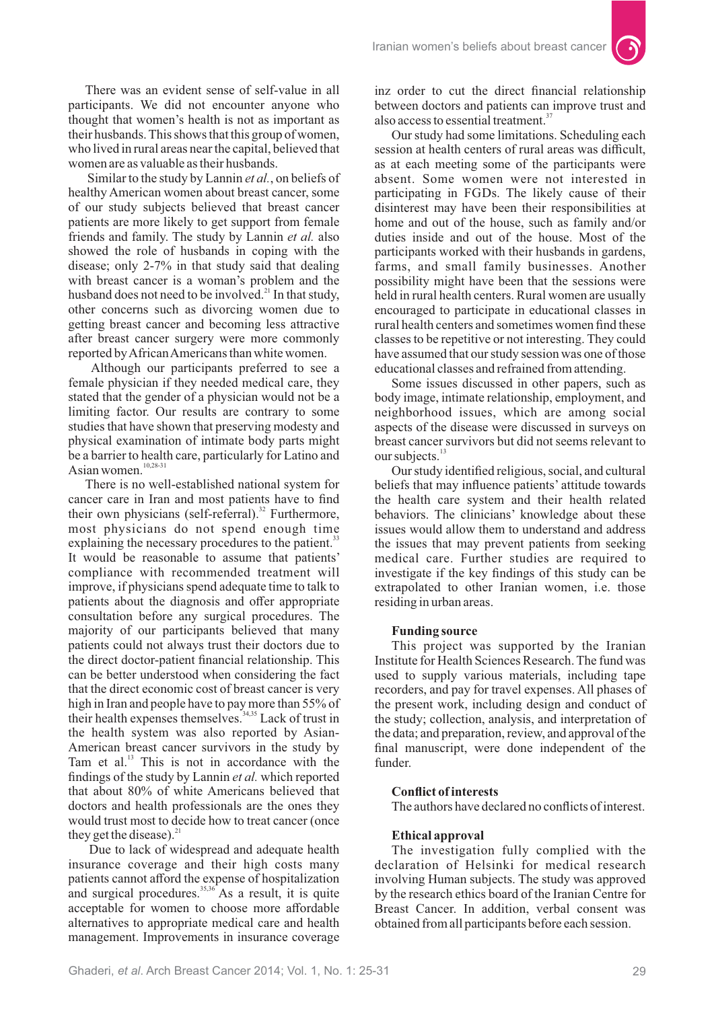There was an evident sense of self-value in all participants. We did not encounter anyone who thought that women's health is not as important as their husbands. This shows that this group of women, who lived in rural areas near the capital, believed that women are as valuable as their husbands.

Similar to the study by Lannin et al., on beliefs of healthy American women about breast cancer, some of our study subjects believed that breast cancer patients are more likely to get support from female friends and family. The study by Lannin et al. also showed the role of husbands in coping with the disease; only 2-7% in that study said that dealing with breast cancer is a woman's problem and the husband does not need to be involved.<sup>21</sup> In that study, other concerns such as divorcing women due to getting breast cancer and becoming less attractive after breast cancer surgery were more commonly reported byAfricanAmericans than white women.

Although our participants preferred to see a female physician if they needed medical care, they stated that the gender of a physician would not be a limiting factor. Our results are contrary to some studies that have shown that preserving modesty and physical examination of intimate body parts might be a barrier to health care, particularly for Latino and Asian women.<sup>10,28-31</sup>

There is no well-established national system for cancer care in Iran and most patients have to find their own physicians (self-referral).<sup>32</sup> Furthermore, most physicians do not spend enough time explaining the necessary procedures to the patient.<sup>33</sup> It would be reasonable to assume that patients' compliance with recommended treatment will improve, if physicians spend adequate time to talk to patients about the diagnosis and offer appropriate consultation before any surgical procedures. The majority of our participants believed that many patients could not always trust their doctors due to the direct doctor-patient financial relationship. This can be better understood when considering the fact that the direct economic cost of breast cancer is very high in Iran and people have to pay more than 55% of their health expenses themselves.  $34,35$  Lack of trust in the health system was also reported by Asian-American breast cancer survivors in the study by Tam et al. $13$  This is not in accordance with the findings of the study by Lannin *et al.* which reported that about 80% of white Americans believed that doctors and health professionals are the ones they would trust most to decide how to treat cancer (once they get the disease). $^{21}$ 

Due to lack of widespread and adequate health insurance coverage and their high costs many patients cannot afford the expense of hospitalization and surgical procedures.<sup>35,36</sup> As a result, it is quite acceptable for women to choose more affordable alternatives to appropriate medical care and health management. Improvements in insurance coverage

inz order to cut the direct financial relationship between doctors and patients can improve trust and also access to essential treatment.<sup>3</sup>

 $\bullet$ 

Our study had some limitations. Scheduling each session at health centers of rural areas was difficult, as at each meeting some of the participants were absent. Some women were not interested in participating in FGDs. The likely cause of their disinterest may have been their responsibilities at home and out of the house, such as family and/or duties inside and out of the house. Most of the participants worked with their husbands in gardens, farms, and small family businesses. Another possibility might have been that the sessions were held in rural health centers. Rural women are usually encouraged to participate in educational classes in rural health centers and sometimes women find these classes to be repetitive or not interesting. They could have assumed that our study session was one of those educational classes and refrained from attending.

Some issues discussed in other papers, such as body image, intimate relationship, employment, and neighborhood issues, which are among social aspects of the disease were discussed in surveys on breast cancer survivors but did not seems relevant to our subjects.<sup>13</sup>

Our study identified religious, social, and cultural beliefs that may influence patients' attitude towards the health care system and their health related behaviors. The clinicians' knowledge about these issues would allow them to understand and address the issues that may prevent patients from seeking medical care. Further studies are required to investigate if the key findings of this study can be extrapolated to other Iranian women, i.e. those residing in urban areas.

## **Funding source**

This project was supported by the Iranian Institute for Health Sciences Research. The fund was used to supply various materials, including tape recorders, and pay for travel expenses. All phases of the present work, including design and conduct of the study; collection, analysis, and interpretation of the data; and preparation, review, and approval of the final manuscript, were done independent of the funder.

### **Conflict of interests**

The authors have declared no conflicts of interest.

#### **Ethical approval**

The investigation fully complied with the declaration of Helsinki for medical research involving Human subjects. The study was approved by the research ethics board of the Iranian Centre for Breast Cancer. In addition, verbal consent was obtained from all participants before each session.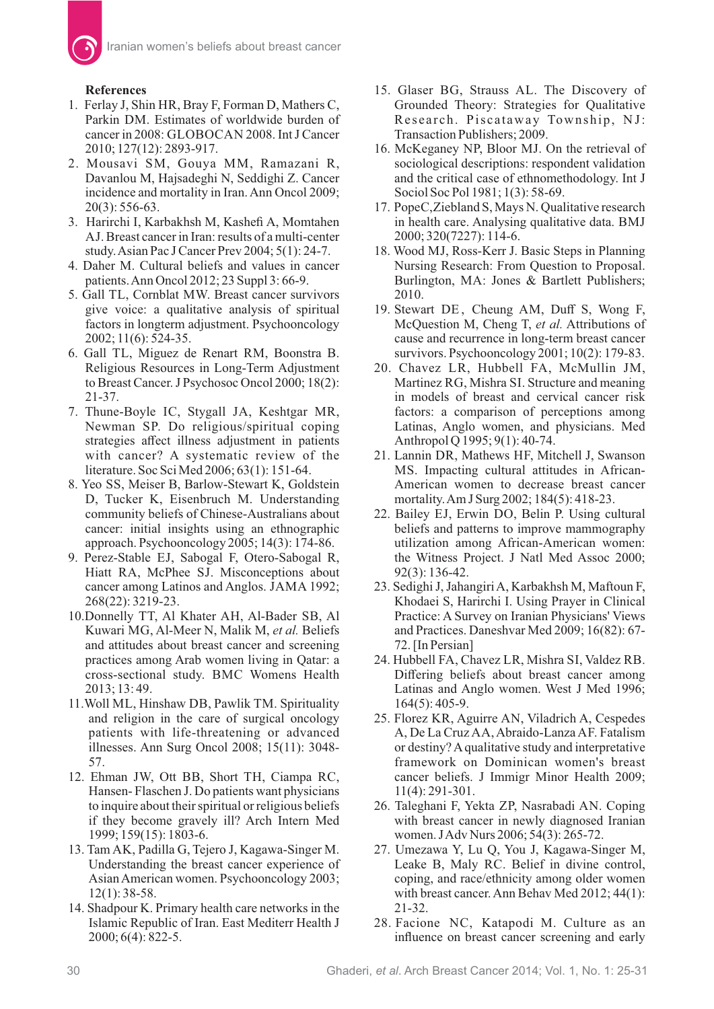## **References**

- 1. Ferlay J, Shin HR, Bray F, Forman D, Mathers C, Parkin DM. Estimates of worldwide burden of cancer in 2008: GLOBOCAN 2008. Int J Cancer 2010; 127(12): 2893-917.
- 2. Mousavi SM, Gouya MM, Ramazani R, Davanlou M, Hajsadeghi N, Seddighi Z. Cancer incidence and mortality in Iran. Ann Oncol 2009; 20(3): 556-63.
- 3. Harirchi I, Karbakhsh M, Kashefi A, Momtahen AJ. Breast cancer in Iran: results of a multi-center study.Asian Pac J Cancer Prev 2004; 5(1): 24-7.
- 4. Daher M. Cultural beliefs and values in cancer patients.Ann Oncol 2012; 23 Suppl 3: 66-9.
- 5. Gall TL, Cornblat MW. Breast cancer survivors give voice: a qualitative analysis of spiritual factors in longterm adjustment. Psychooncology 2002; 11(6): 524-35.
- 6. Gall TL, Miguez de Renart RM, Boonstra B. Religious Resources in Long-Term Adjustment to Breast Cancer. J Psychosoc Oncol 2000; 18(2): 21-37.
- 7. Thune-Boyle IC, Stygall JA, Keshtgar MR, Newman SP. Do religious/spiritual coping strategies affect illness adjustment in patients with cancer? A systematic review of the literature. Soc Sci Med 2006; 63(1): 151-64.
- 8. Yeo SS, Meiser B, Barlow-Stewart K, Goldstein D, Tucker K, Eisenbruch M. Understanding community beliefs of Chinese-Australians about cancer: initial insights using an ethnographic approach. Psychooncology 2005; 14(3): 174-86.
- 9. Perez-Stable EJ, Sabogal F, Otero-Sabogal R, Hiatt RA, McPhee SJ. Misconceptions about cancer among Latinos and Anglos. JAMA 1992; 268(22): 3219-23.
- 10.Donnelly TT, Al Khater AH, Al-Bader SB, Al Kuwari MG, Al-Meer N, Malik M, et al. Beliefs and attitudes about breast cancer and screening practices among Arab women living in Qatar: a cross-sectional study. BMC Womens Health 2013; 13: 49.
- 11. Woll ML, Hinshaw DB, Pawlik TM. Spirituality and religion in the care of surgical oncology patients with life-threatening or advanced illnesses. Ann Surg Oncol 2008; 15(11): 3048- 57.
- 12. Ehman JW, Ott BB, Short TH, Ciampa RC, Hansen- Flaschen J. Do patients want physicians to inquire about their spiritual or religious beliefs if they become gravely ill? Arch Intern Med 1999; 159(15): 1803-6.
- 13. Tam AK, Padilla G, Tejero J, Kagawa-Singer M. Understanding the breast cancer experience of Asian American women. Psychooncology 2003; 12(1): 38-58.
- 14. Shadpour K. Primary health care networks in the Islamic Republic of Iran. East Mediterr Health J 2000; 6(4): 822-5.
- 15. Glaser BG, Strauss AL. The Discovery of Grounded Theory: Strategies for Qualitative Research. Piscataway Township, NJ: Transaction Publishers; 2009.
- 16. McKeganey NP, Bloor MJ. On the retrieval of sociological descriptions: respondent validation and the critical case of ethnomethodology. Int J Sociol Soc Pol 1981; 1(3): 58-69.
- 17. PopeC,Ziebland S, Mays N. Qualitative research in health care. Analysing qualitative data. BMJ 2000; 320(7227): 114-6.
- 18. Wood MJ, Ross-Kerr J. Basic Steps in Planning Nursing Research: From Question to Proposal. Burlington, MA: Jones & Bartlett Publishers; 2010.
- 19. Stewart DE, Cheung AM, Duff S, Wong F, McQuestion M, Cheng T, et al. Attributions of cause and recurrence in long-term breast cancer survivors. Psychooncology 2001; 10(2): 179-83.
- 20. Chavez LR, Hubbell FA, McMullin JM, Martinez RG, Mishra SI. Structure and meaning in models of breast and cervical cancer risk factors: a comparison of perceptions among Latinas, Anglo women, and physicians. Med Anthropol Q 1995; 9(1): 40-74.
- 21. Lannin DR, Mathews HF, Mitchell J, Swanson MS. Impacting cultural attitudes in African-American women to decrease breast cancer mortality.Am J Surg 2002; 184(5): 418-23.
- 22. Bailey EJ, Erwin DO, Belin P. Using cultural beliefs and patterns to improve mammography utilization among African-American women: the Witness Project. J Natl Med Assoc 2000; 92(3): 136-42.
- 23. Sedighi J, JahangiriA, Karbakhsh M, Maftoun F, Khodaei S, Harirchi I. Using Prayer in Clinical Practice: A Survey on Iranian Physicians' Views and Practices. Daneshvar Med 2009; 16(82): 67- 72. [In Persian]
- 24. Hubbell FA, Chavez LR, Mishra SI, Valdez RB. Differing beliefs about breast cancer among Latinas and Anglo women. West J Med 1996; 164(5): 405-9.
- 25. Florez KR, Aguirre AN, Viladrich A, Cespedes A, De La Cruz AA, Abraido-Lanza AF, Fatalism or destiny? A qualitative study and interpretative framework on Dominican women's breast cancer beliefs. J Immigr Minor Health 2009; 11(4): 291-301.
- 26. Taleghani F, Yekta ZP, Nasrabadi AN. Coping with breast cancer in newly diagnosed Iranian women. JAdv Nurs 2006; 54(3): 265-72.
- 27. Umezawa Y, Lu Q, You J, Kagawa-Singer M, Leake B, Maly RC. Belief in divine control, coping, and race/ethnicity among older women with breast cancer. Ann Behav Med 2012; 44(1): 21-32.
- 28. Facione NC, Katapodi M. Culture as an influence on breast cancer screening and early